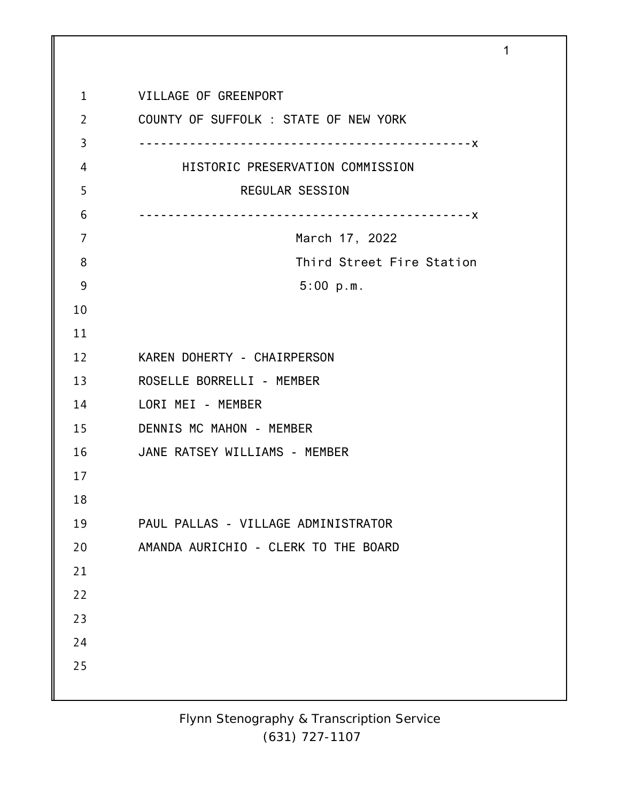| $\mathbf{1}$   | VILLAGE OF GREENPORT                  |
|----------------|---------------------------------------|
| $\overline{2}$ | COUNTY OF SUFFOLK : STATE OF NEW YORK |
| 3              |                                       |
| 4              | HISTORIC PRESERVATION COMMISSION      |
| 5              | REGULAR SESSION                       |
| 6              |                                       |
| 7              | March 17, 2022                        |
| 8              | Third Street Fire Station             |
| 9              | 5:00 p.m.                             |
| 10             |                                       |
| 11             |                                       |
| 12             | KAREN DOHERTY - CHAIRPERSON           |
| 13             | ROSELLE BORRELLI - MEMBER             |
| 14             | LORI MEI - MEMBER                     |
| 15             | DENNIS MC MAHON - MEMBER              |
| 16             | JANE RATSEY WILLIAMS - MEMBER         |
| 17             |                                       |
| 18             |                                       |
| 19             | PAUL PALLAS - VILLAGE ADMINISTRATOR   |
| 20             | AMANDA AURICHIO - CLERK TO THE BOARD  |
| 21             |                                       |
| 22             |                                       |
| 23             |                                       |
| 24             |                                       |
| 25             |                                       |
|                |                                       |

1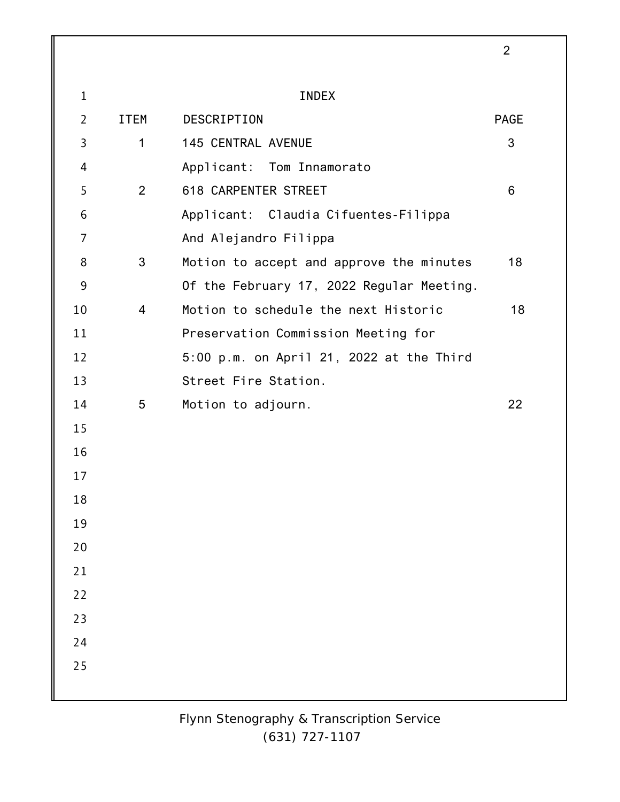|                |                |                                           | $\overline{2}$ |
|----------------|----------------|-------------------------------------------|----------------|
| $\mathbf{1}$   |                | <b>INDEX</b>                              |                |
| $\overline{2}$ | <b>ITEM</b>    | DESCRIPTION                               | <b>PAGE</b>    |
| 3              | 1              | <b>145 CENTRAL AVENUE</b>                 | 3              |
| 4              |                | Applicant: Tom Innamorato                 |                |
| 5              | $\overline{2}$ | 618 CARPENTER STREET                      | 6              |
| 6              |                |                                           |                |
| 7              |                | Applicant: Claudia Cifuentes-Filippa      |                |
|                |                | And Alejandro Filippa                     |                |
| 8              | 3              | Motion to accept and approve the minutes  | 18             |
| 9              |                | Of the February 17, 2022 Regular Meeting. |                |
| 10             | $\overline{4}$ | Motion to schedule the next Historic      | 18             |
| 11             |                | Preservation Commission Meeting for       |                |
| 12             |                | 5:00 p.m. on April 21, 2022 at the Third  |                |
| 13             |                | Street Fire Station.                      |                |
| 14             | 5              | Motion to adjourn.                        | 22             |
| 15             |                |                                           |                |
| 16             |                |                                           |                |
| 17             |                |                                           |                |
| 18             |                |                                           |                |
| 19             |                |                                           |                |
| 20             |                |                                           |                |
| 21             |                |                                           |                |
| 22             |                |                                           |                |
| 23             |                |                                           |                |
| 24             |                |                                           |                |
| 25             |                |                                           |                |
|                |                |                                           |                |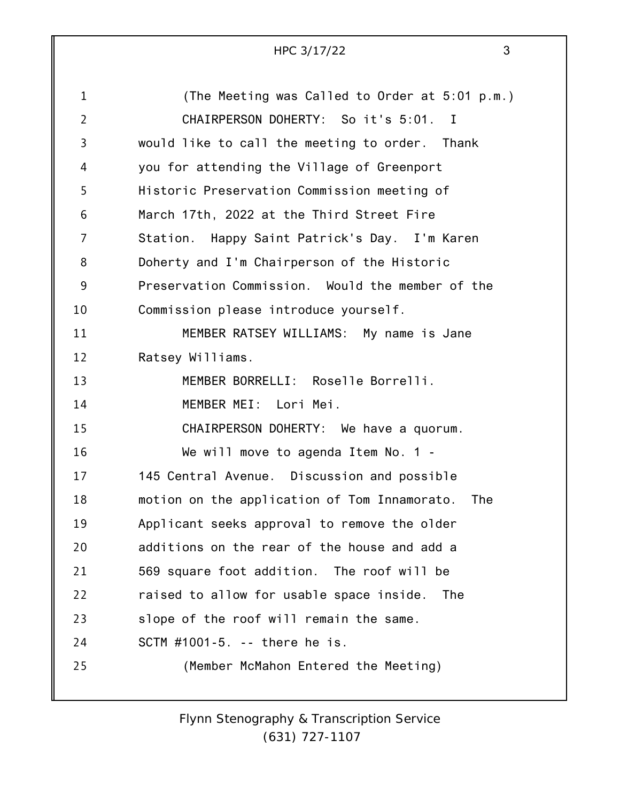| HPC 3/17/22 |  |
|-------------|--|
|             |  |

| $\mathbf{1}$   | (The Meeting was Called to Order at 5:01 p.m.)      |
|----------------|-----------------------------------------------------|
| $\overline{2}$ | CHAIRPERSON DOHERTY: So it's 5:01.<br>$\mathbf{I}$  |
| 3              | would like to call the meeting to order. Thank      |
| 4              | you for attending the Village of Greenport          |
| 5              | Historic Preservation Commission meeting of         |
| 6              | March 17th, 2022 at the Third Street Fire           |
| 7              | Station. Happy Saint Patrick's Day. I'm Karen       |
| 8              | Doherty and I'm Chairperson of the Historic         |
| 9              | Preservation Commission. Would the member of the    |
| 10             | Commission please introduce yourself.               |
| 11             | MEMBER RATSEY WILLIAMS: My name is Jane             |
| 12             | Ratsey Williams.                                    |
| 13             | MEMBER BORRELLI: Roselle Borrelli.                  |
| 14             | MEMBER MEI: Lori Mei.                               |
| 15             | CHAIRPERSON DOHERTY: We have a quorum.              |
| 16             | We will move to agenda Item No. 1 -                 |
| 17             | 145 Central Avenue. Discussion and possible         |
| 18             | motion on the application of Tom Innamorato.<br>The |
| 19             | Applicant seeks approval to remove the older        |
| 20             | additions on the rear of the house and add a        |
| 21             | 569 square foot addition. The roof will be          |
| 22             | raised to allow for usable space inside. The        |
| 23             | slope of the roof will remain the same.             |
| 24             | SCTM #1001-5. -- there he is.                       |
| 25             | (Member McMahon Entered the Meeting)                |
|                |                                                     |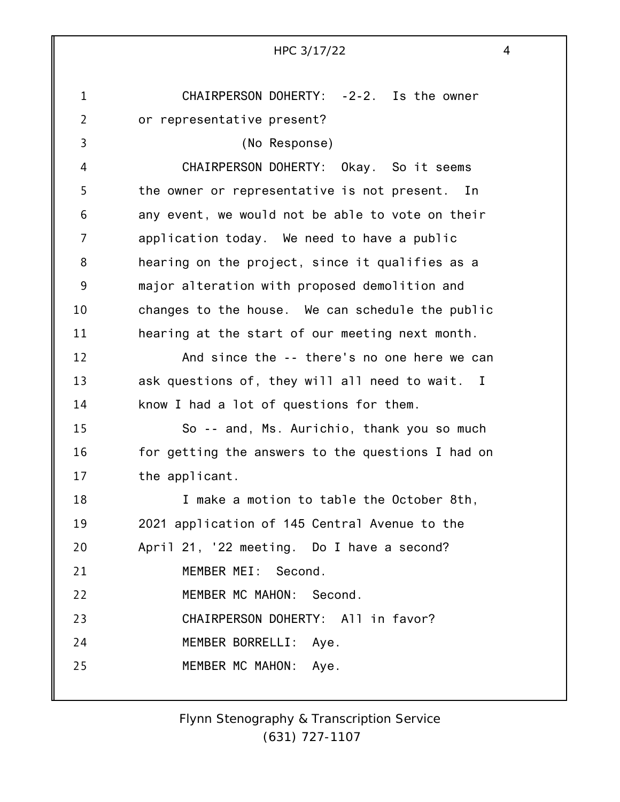1 2 3 4 5 6 7 8 9 10 11 12 13 14 15 16 17 18 19 20 21 22 23 24 25 HPC 3/17/22 4 CHAIRPERSON DOHERTY: -2-2. Is the owner or representative present? (No Response) CHAIRPERSON DOHERTY: Okay. So it seems the owner or representative is not present. In any event, we would not be able to vote on their application today. We need to have a public hearing on the project, since it qualifies as a major alteration with proposed demolition and changes to the house. We can schedule the public hearing at the start of our meeting next month. And since the -- there's no one here we can ask questions of, they will all need to wait. I know I had a lot of questions for them. So -- and, Ms. Aurichio, thank you so much for getting the answers to the questions I had on the applicant. I make a motion to table the October 8th, 2021 application of 145 Central Avenue to the April 21, '22 meeting. Do I have a second? MEMBER MEI: Second. MEMBER MC MAHON: Second. CHAIRPERSON DOHERTY: All in favor? MEMBER BORRELLI: Aye. MEMBER MC MAHON: Aye.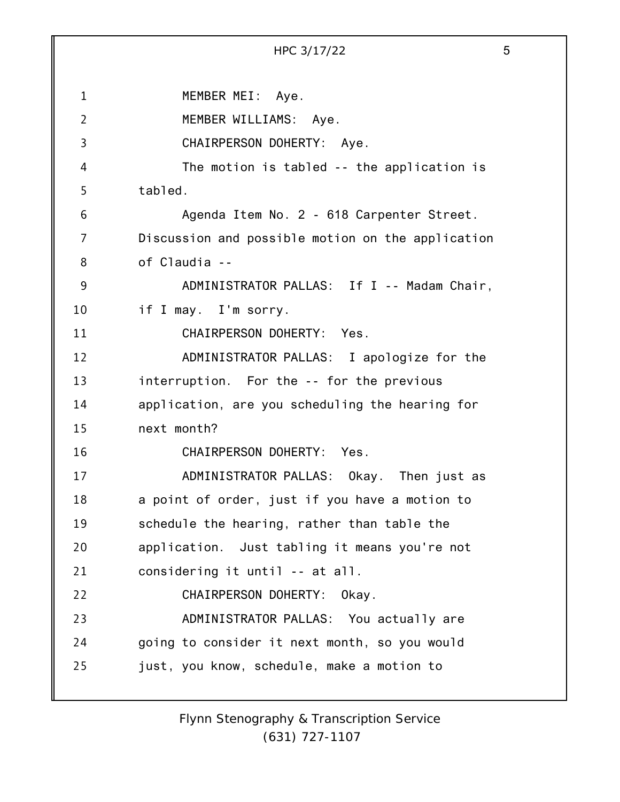1 2 3 4 5 6 7 8 9 10 11 12 13 14 15 16 17 18 19 20 21 22 23 24 25 HPC 3/17/22 5 MEMBER MEI: Aye. MEMBER WILLIAMS: Aye. CHAIRPERSON DOHERTY: Aye. The motion is tabled -- the application is tabled. Agenda Item No. 2 - 618 Carpenter Street. Discussion and possible motion on the application of Claudia -- ADMINISTRATOR PALLAS: If I -- Madam Chair, if I may. I'm sorry. CHAIRPERSON DOHERTY: Yes. ADMINISTRATOR PALLAS: I apologize for the interruption. For the -- for the previous application, are you scheduling the hearing for next month? CHAIRPERSON DOHERTY: Yes. ADMINISTRATOR PALLAS: Okay. Then just as a point of order, just if you have a motion to schedule the hearing, rather than table the application. Just tabling it means you're not considering it until -- at all. CHAIRPERSON DOHERTY: Okay. ADMINISTRATOR PALLAS: You actually are going to consider it next month, so you would just, you know, schedule, make a motion to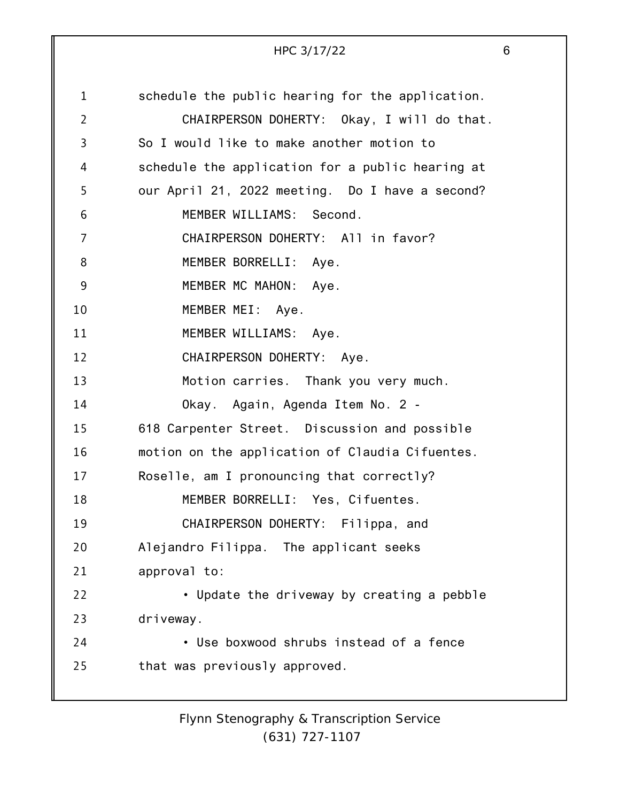|                | HPC 3/17/22                                      | 6 |
|----------------|--------------------------------------------------|---|
|                |                                                  |   |
| $\mathbf{1}$   | schedule the public hearing for the application. |   |
| $\overline{2}$ | CHAIRPERSON DOHERTY: Okay, I will do that.       |   |
| 3              | So I would like to make another motion to        |   |
| 4              | schedule the application for a public hearing at |   |
| 5              | our April 21, 2022 meeting. Do I have a second?  |   |
| 6              | MEMBER WILLIAMS: Second.                         |   |
| 7              | CHAIRPERSON DOHERTY: All in favor?               |   |
| 8              | MEMBER BORRELLI: Aye.                            |   |
| 9              | MEMBER MC MAHON: Aye.                            |   |
| 10             | MEMBER MEI: Aye.                                 |   |
| 11             | MEMBER WILLIAMS: Aye.                            |   |
| 12             | CHAIRPERSON DOHERTY: Aye.                        |   |
| 13             | Motion carries. Thank you very much.             |   |
| 14             | Okay. Again, Agenda Item No. 2 -                 |   |
| 15             | 618 Carpenter Street. Discussion and possible    |   |
| 16             | motion on the application of Claudia Cifuentes.  |   |
| 17             | Roselle, am I pronouncing that correctly?        |   |
| 18             | MEMBER BORRELLI: Yes, Cifuentes.                 |   |
| 19             | CHAIRPERSON DOHERTY: Filippa, and                |   |
| 20             | Alejandro Filippa. The applicant seeks           |   |
| 21             | approval to:                                     |   |
| 22             | • Update the driveway by creating a pebble       |   |
| 23             | driveway.                                        |   |
| 24             | · Use boxwood shrubs instead of a fence          |   |
| 25             | that was previously approved.                    |   |
|                |                                                  |   |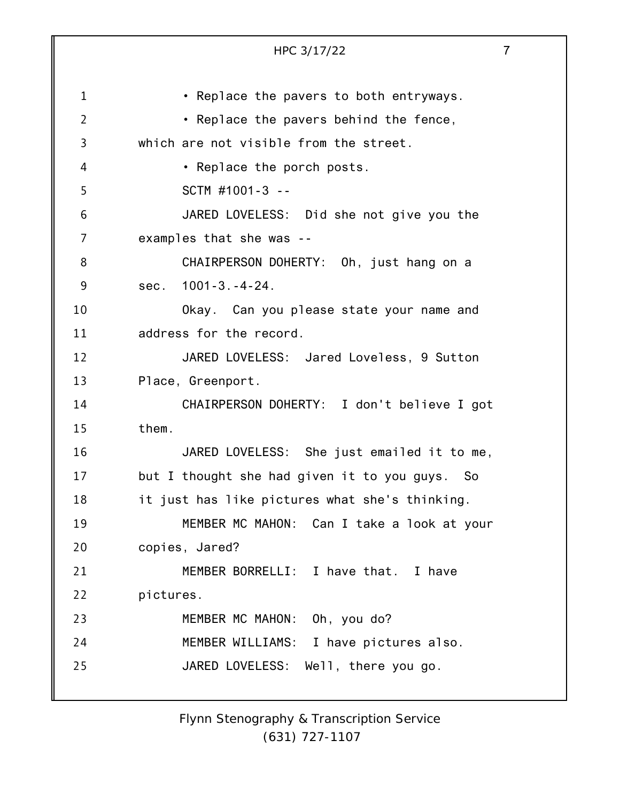|                | HPC 3/17/22                                    | $\overline{7}$ |
|----------------|------------------------------------------------|----------------|
|                |                                                |                |
| $\mathbf 1$    | • Replace the pavers to both entryways.        |                |
| $\overline{2}$ | • Replace the pavers behind the fence,         |                |
| 3              | which are not visible from the street.         |                |
| 4              | • Replace the porch posts.                     |                |
| 5              | SCTM #1001-3 --                                |                |
| 6              | JARED LOVELESS: Did she not give you the       |                |
| 7              | examples that she was --                       |                |
| 8              | CHAIRPERSON DOHERTY: Oh, just hang on a        |                |
| 9              | sec. 1001-3.-4-24.                             |                |
| 10             | Okay. Can you please state your name and       |                |
| 11             | address for the record.                        |                |
| 12             | JARED LOVELESS: Jared Loveless, 9 Sutton       |                |
| 13             | Place, Greenport.                              |                |
| 14             | CHAIRPERSON DOHERTY: I don't believe I got     |                |
| 15             | them.                                          |                |
| 16             | JARED LOVELESS: She just emailed it to me,     |                |
| 17             | but I thought she had given it to you guys. So |                |
| 18             | it just has like pictures what she's thinking. |                |
| 19             | MEMBER MC MAHON: Can I take a look at your     |                |
| 20             | copies, Jared?                                 |                |
| 21             | MEMBER BORRELLI: I have that. I have           |                |
| 22             | pictures.                                      |                |
| 23             | MEMBER MC MAHON: Oh, you do?                   |                |
| 24             | MEMBER WILLIAMS: I have pictures also.         |                |
| 25             | JARED LOVELESS: Well, there you go.            |                |
|                |                                                |                |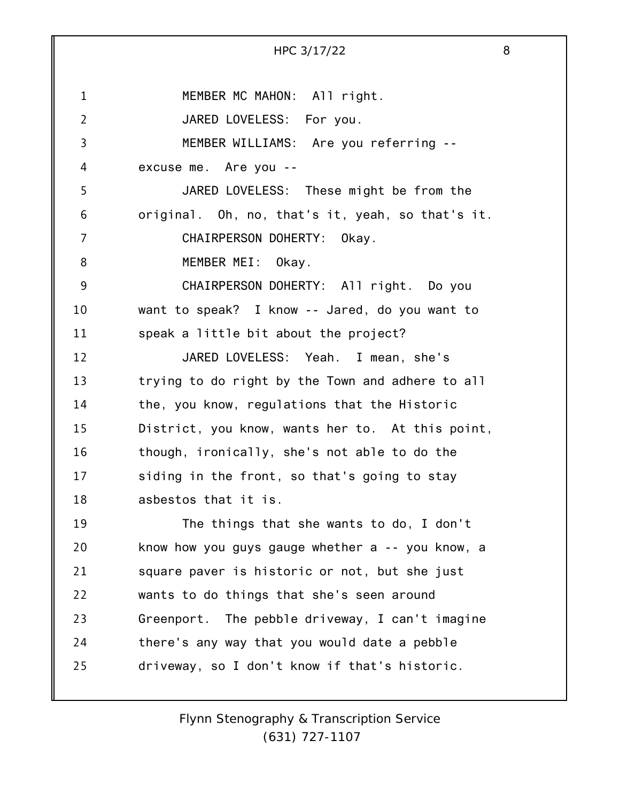1 2 3 4 5 6 7 8 9 10 11 12 13 14 15 16 17 18 19 20 21 22 23 24 25 HPC 3/17/22 8 MEMBER MC MAHON: All right. JARED LOVELESS: For you. MEMBER WILLIAMS: Are you referring - excuse me. Are you -- JARED LOVELESS: These might be from the original. Oh, no, that's it, yeah, so that's it. CHAIRPERSON DOHERTY: Okay. MEMBER MEI: Okay. CHAIRPERSON DOHERTY: All right. Do you want to speak? I know -- Jared, do you want to speak a little bit about the project? JARED LOVELESS: Yeah. I mean, she's trying to do right by the Town and adhere to all the, you know, regulations that the Historic District, you know, wants her to. At this point, though, ironically, she's not able to do the siding in the front, so that's going to stay asbestos that it is. The things that she wants to do, I don't know how you guys gauge whether a -- you know, a square paver is historic or not, but she just wants to do things that she's seen around Greenport. The pebble driveway, I can't imagine there's any way that you would date a pebble driveway, so I don't know if that's historic.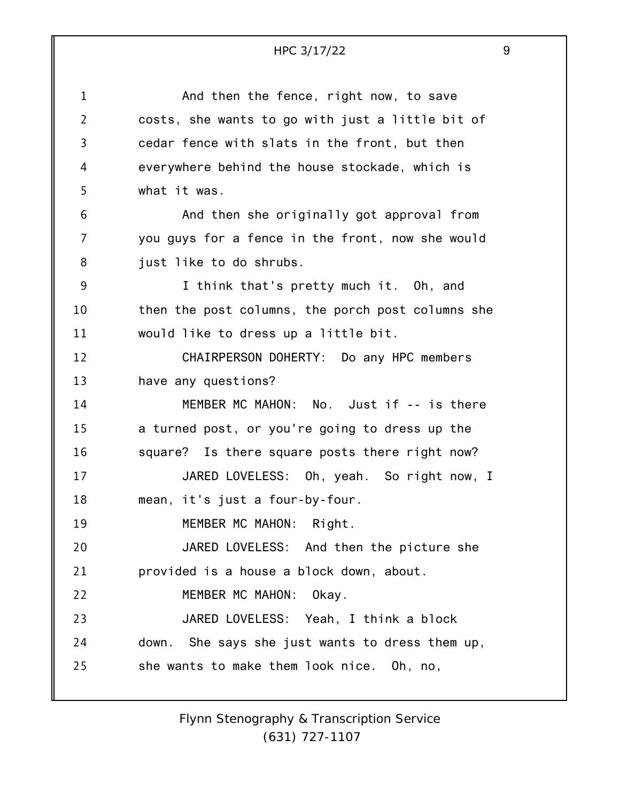## $HPC$  3/17/22

| ۰,                                |  |
|-----------------------------------|--|
| I                                 |  |
| I<br>I<br>۱<br>I<br>×<br>M.<br>۰. |  |

| $\mathbf 1$    | And then the fence, right now, to save            |
|----------------|---------------------------------------------------|
| $\overline{2}$ | costs, she wants to go with just a little bit of  |
| 3              | cedar fence with slats in the front, but then     |
| 4              | everywhere behind the house stockade, which is    |
| 5              | what it was.                                      |
| 6              | And then she originally got approval from         |
| 7              | you guys for a fence in the front, now she would  |
| 8              | just like to do shrubs.                           |
| 9              | I think that's pretty much it. Oh, and            |
| 10             | then the post columns, the porch post columns she |
| 11             | would like to dress up a little bit.              |
| 12             | CHAIRPERSON DOHERTY: Do any HPC members           |
| 13             | have any questions?                               |
| 14             | MEMBER MC MAHON: No. Just if -- is there          |
| 15             | a turned post, or you're going to dress up the    |
| 16             | square? Is there square posts there right now?    |
| 17             | JARED LOVELESS: Oh, yeah. So right now, I         |
| 18             | mean, it's just a four-by-four.                   |
| 19             | MEMBER MC MAHON: Right.                           |
| 20             | JARED LOVELESS: And then the picture she          |
| 21             | provided is a house a block down, about.          |
| 22             | MEMBER MC MAHON:<br>Okay.                         |
| 23             | JARED LOVELESS: Yeah, I think a block             |
| 24             | down. She says she just wants to dress them up,   |
| 25             | she wants to make them look nice. Oh, no,         |
|                |                                                   |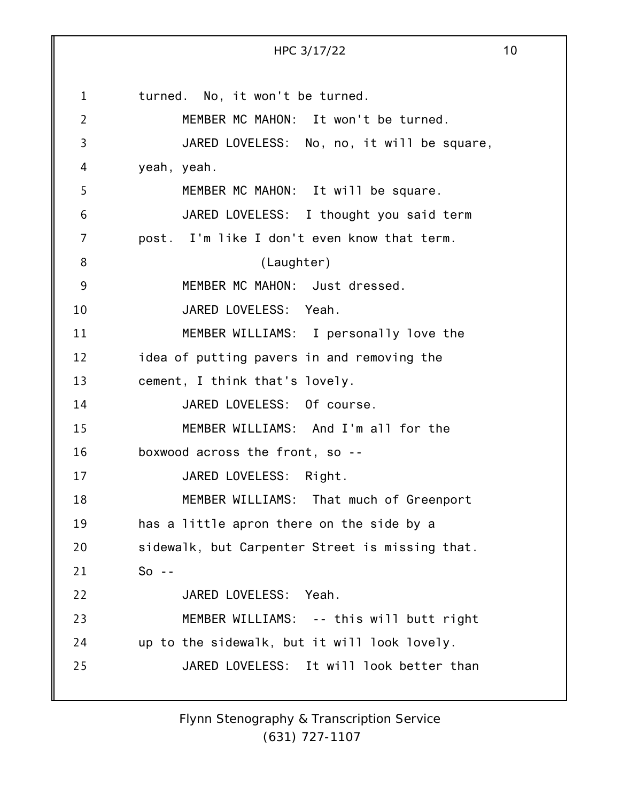1 2 3 4 5 6 7 8 9 10 11 12 13 14 15 16 17 18 19 20 21 22 23 24 25 HPC 3/17/22 10 turned. No, it won't be turned. MEMBER MC MAHON: It won't be turned. JARED LOVELESS: No, no, it will be square, yeah, yeah. MEMBER MC MAHON: It will be square. JARED LOVELESS: I thought you said term post. I'm like I don't even know that term. (Laughter) MEMBER MC MAHON: Just dressed. JARED LOVELESS: Yeah. MEMBER WILLIAMS: I personally love the idea of putting pavers in and removing the cement, I think that's lovely. JARED LOVELESS: Of course. MEMBER WILLIAMS: And I'm all for the boxwood across the front, so -- JARED LOVELESS: Right. MEMBER WILLIAMS: That much of Greenport has a little apron there on the side by a sidewalk, but Carpenter Street is missing that.  $So - -$ JARED LOVELESS: Yeah. MEMBER WILLIAMS: -- this will butt right up to the sidewalk, but it will look lovely. JARED LOVELESS: It will look better than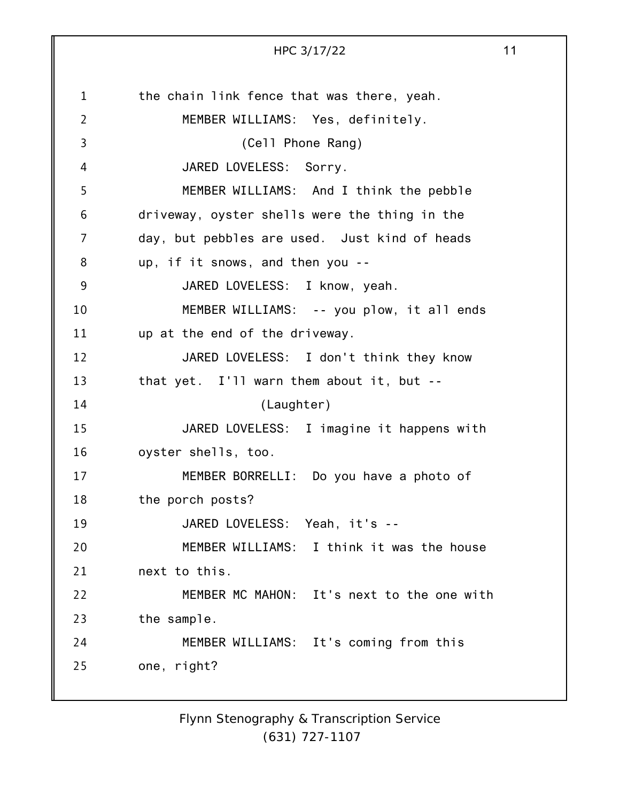1 2 3 4 5 6 7 8 9 10 11 12 13 14 15 16 17 18 19 20 21 22 23 24 25 HPC 3/17/22 11 the chain link fence that was there, yeah. MEMBER WILLIAMS: Yes, definitely. (Cell Phone Rang) JARED LOVELESS: Sorry. MEMBER WILLIAMS: And I think the pebble driveway, oyster shells were the thing in the day, but pebbles are used. Just kind of heads up, if it snows, and then you -- JARED LOVELESS: I know, yeah. MEMBER WILLIAMS: -- you plow, it all ends up at the end of the driveway. JARED LOVELESS: I don't think they know that yet. I'll warn them about it, but -- (Laughter) JARED LOVELESS: I imagine it happens with oyster shells, too. MEMBER BORRELLI: Do you have a photo of the porch posts? JARED LOVELESS: Yeah, it's -- MEMBER WILLIAMS: I think it was the house next to this. MEMBER MC MAHON: It's next to the one with the sample. MEMBER WILLIAMS: It's coming from this one, right?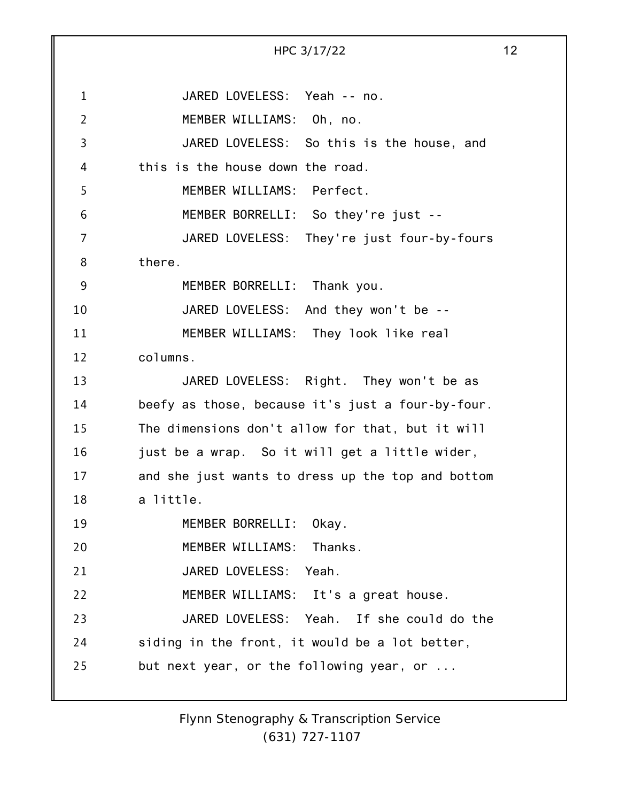1 2 3 4 5 6 7 8 9 10 11 12 13 14 15 16 17 18 19 20 21 22 23 24 25 HPC 3/17/22 12 JARED LOVELESS: Yeah -- no. MEMBER WILLIAMS: Oh, no. JARED LOVELESS: So this is the house, and this is the house down the road. MEMBER WILLIAMS: Perfect. MEMBER BORRELLI: So they're just -- JARED LOVELESS: They're just four-by-fours there. MEMBER BORRELLI: Thank you. JARED LOVELESS: And they won't be -- MEMBER WILLIAMS: They look like real columns. JARED LOVELESS: Right. They won't be as beefy as those, because it's just a four-by-four. The dimensions don't allow for that, but it will just be a wrap. So it will get a little wider, and she just wants to dress up the top and bottom a little. MEMBER BORRELLI: Okay. MEMBER WILLIAMS: Thanks. JARED LOVELESS: Yeah. MEMBER WILLIAMS: It's a great house. JARED LOVELESS: Yeah. If she could do the siding in the front, it would be a lot better, but next year, or the following year, or ...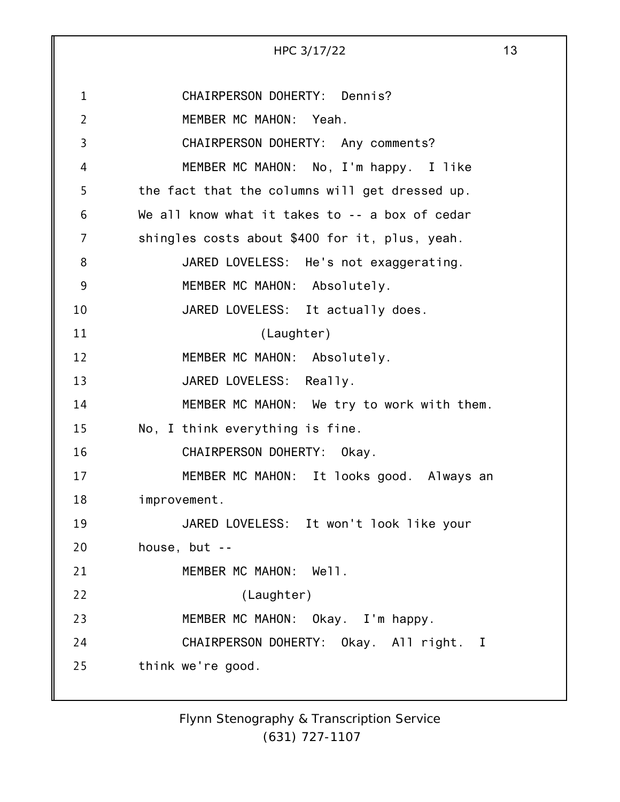1 2 3 4 5 6 7 8 9 10 11 12 13 14 15 16 17 18 19 20 21 22 23 24 25 HPC 3/17/22 13 CHAIRPERSON DOHERTY: Dennis? MEMBER MC MAHON: Yeah. CHAIRPERSON DOHERTY: Any comments? MEMBER MC MAHON: No, I'm happy. I like the fact that the columns will get dressed up. We all know what it takes to -- a box of cedar shingles costs about \$400 for it, plus, yeah. JARED LOVELESS: He's not exaggerating. MEMBER MC MAHON: Absolutely. JARED LOVELESS: It actually does. (Laughter) MEMBER MC MAHON: Absolutely. JARED LOVELESS: Really. MEMBER MC MAHON: We try to work with them. No, I think everything is fine. CHAIRPERSON DOHERTY: Okay. MEMBER MC MAHON: It looks good. Always an improvement. JARED LOVELESS: It won't look like your house, but -- MEMBER MC MAHON: Well. (Laughter) MEMBER MC MAHON: Okay. I'm happy. CHAIRPERSON DOHERTY: Okay. All right. I think we're good.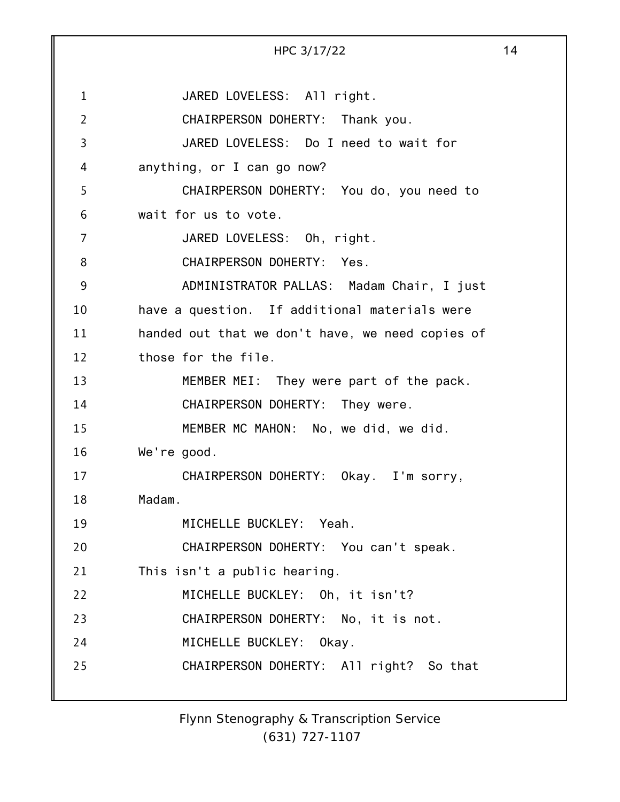1 2 3 4 5 6 7 8 9 10 11 12 13 14 15 16 17 18 19 20 21 22 23 24 25 HPC 3/17/22 14 JARED LOVELESS: All right. CHAIRPERSON DOHERTY: Thank you. JARED LOVELESS: Do I need to wait for anything, or I can go now? CHAIRPERSON DOHERTY: You do, you need to wait for us to vote. JARED LOVELESS: Oh, right. CHAIRPERSON DOHERTY: Yes. ADMINISTRATOR PALLAS: Madam Chair, I just have a question. If additional materials were handed out that we don't have, we need copies of those for the file. MEMBER MEI: They were part of the pack. CHAIRPERSON DOHERTY: They were. MEMBER MC MAHON: No, we did, we did. We're good. CHAIRPERSON DOHERTY: Okay. I'm sorry, Madam. MICHELLE BUCKLEY: Yeah. CHAIRPERSON DOHERTY: You can't speak. This isn't a public hearing. MICHELLE BUCKLEY: Oh, it isn't? CHAIRPERSON DOHERTY: No, it is not. MICHELLE BUCKLEY: Okay. CHAIRPERSON DOHERTY: All right? So that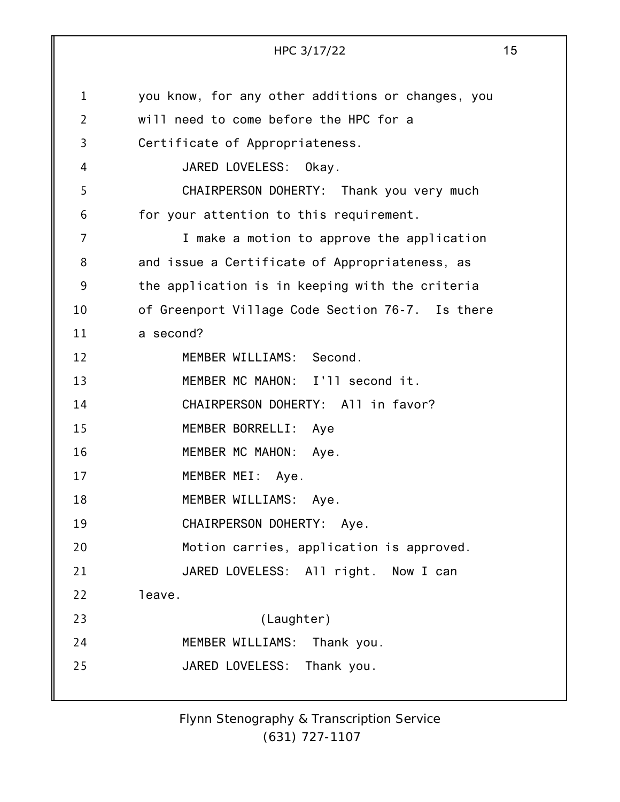1 2 3 4 5 6 7 8 9 10 11 12 13 14 15 16 17 18 19 20 21 22 23 24 25 HPC 3/17/22 15 you know, for any other additions or changes, you will need to come before the HPC for a Certificate of Appropriateness. JARED LOVELESS: Okay. CHAIRPERSON DOHERTY: Thank you very much for your attention to this requirement. I make a motion to approve the application and issue a Certificate of Appropriateness, as the application is in keeping with the criteria of Greenport Village Code Section 76-7. Is there a second? MEMBER WILLIAMS: Second. MEMBER MC MAHON: I'll second it. CHAIRPERSON DOHERTY: All in favor? MEMBER BORRELLI: Aye MEMBER MC MAHON: Aye. MEMBER MEI: Aye. MEMBER WILLIAMS: Aye. CHAIRPERSON DOHERTY: Aye. Motion carries, application is approved. JARED LOVELESS: All right. Now I can leave. (Laughter) MEMBER WILLIAMS: Thank you. JARED LOVELESS: Thank you.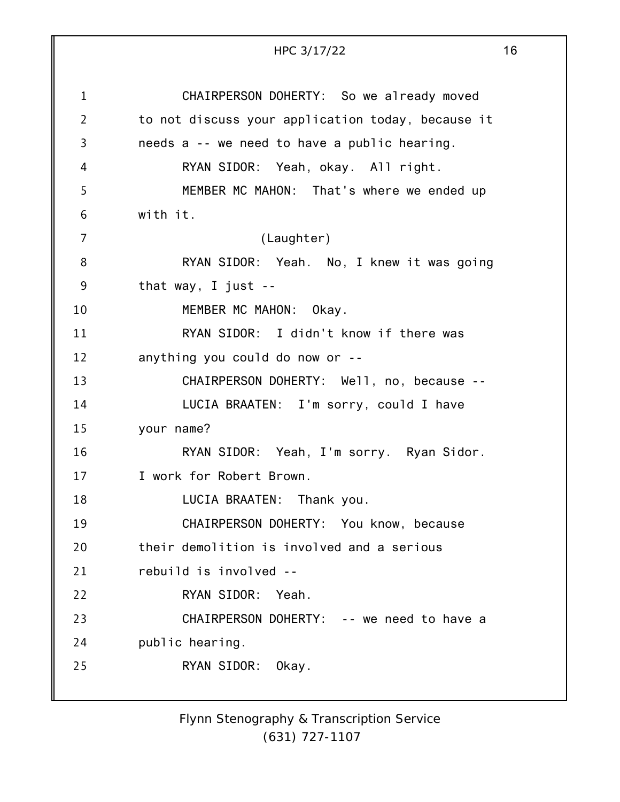|                | HPC 3/17/22                                       | 16 |
|----------------|---------------------------------------------------|----|
|                |                                                   |    |
| $\mathbf{1}$   | CHAIRPERSON DOHERTY: So we already moved          |    |
| $\overline{2}$ | to not discuss your application today, because it |    |
| 3              | needs a -- we need to have a public hearing.      |    |
| 4              | RYAN SIDOR: Yeah, okay. All right.                |    |
| 5              | MEMBER MC MAHON: That's where we ended up         |    |
| 6              | with it.                                          |    |
| 7              | (Laughter)                                        |    |
| 8              | RYAN SIDOR: Yeah. No, I knew it was going         |    |
| 9              | that way, I just $-$                              |    |
| 10             | MEMBER MC MAHON: Okay.                            |    |
| 11             | RYAN SIDOR: I didn't know if there was            |    |
| 12             | anything you could do now or --                   |    |
| 13             | CHAIRPERSON DOHERTY: Well, no, because --         |    |
| 14             | LUCIA BRAATEN: I'm sorry, could I have            |    |
| 15             | your name?                                        |    |
| 16             | RYAN SIDOR: Yeah, I'm sorry. Ryan Sidor.          |    |
| 17             | I work for Robert Brown.                          |    |
| 18             | LUCIA BRAATEN: Thank you.                         |    |
| 19             | CHAIRPERSON DOHERTY: You know, because            |    |
| 20             | their demolition is involved and a serious        |    |
| 21             | rebuild is involved --                            |    |
| 22             | RYAN SIDOR:<br>Yeah.                              |    |
| 23             | CHAIRPERSON DOHERTY: -- we need to have a         |    |
| 24             | public hearing.                                   |    |
| 25             | RYAN SIDOR:<br>Okay.                              |    |
|                |                                                   |    |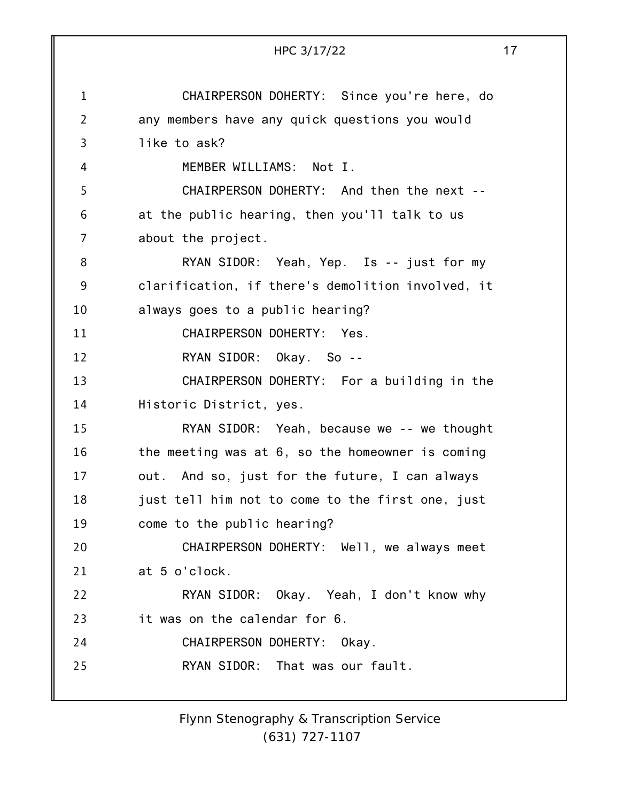|                | 17<br>HPC 3/17/22                                 |
|----------------|---------------------------------------------------|
| $\mathbf 1$    | CHAIRPERSON DOHERTY: Since you're here, do        |
| $\overline{2}$ | any members have any quick questions you would    |
| 3              | like to ask?                                      |
| 4              | MEMBER WILLIAMS: Not I.                           |
| 5              | CHAIRPERSON DOHERTY: And then the next --         |
| 6              | at the public hearing, then you'll talk to us     |
| $\overline{7}$ | about the project.                                |
| 8              | RYAN SIDOR: Yeah, Yep. Is -- just for my          |
| 9              | clarification, if there's demolition involved, it |
| 10             | always goes to a public hearing?                  |
| 11             | CHAIRPERSON DOHERTY: Yes.                         |
| 12             | RYAN SIDOR: Okay. So --                           |
| 13             | CHAIRPERSON DOHERTY: For a building in the        |
| 14             | Historic District, yes.                           |
| 15             | RYAN SIDOR: Yeah, because we -- we thought        |
| 16             | the meeting was at 6, so the homeowner is coming  |
| 17             | out. And so, just for the future, I can always    |
| 18             | just tell him not to come to the first one, just  |
| 19             | come to the public hearing?                       |
| 20             | CHAIRPERSON DOHERTY: Well, we always meet         |
| 21             | at 5 o'clock.                                     |
| 22             | RYAN SIDOR: Okay. Yeah, I don't know why          |
| 23             | it was on the calendar for 6.                     |
| 24             | CHAIRPERSON DOHERTY: Okay.                        |
| 25             | RYAN SIDOR: That was our fault.                   |
|                |                                                   |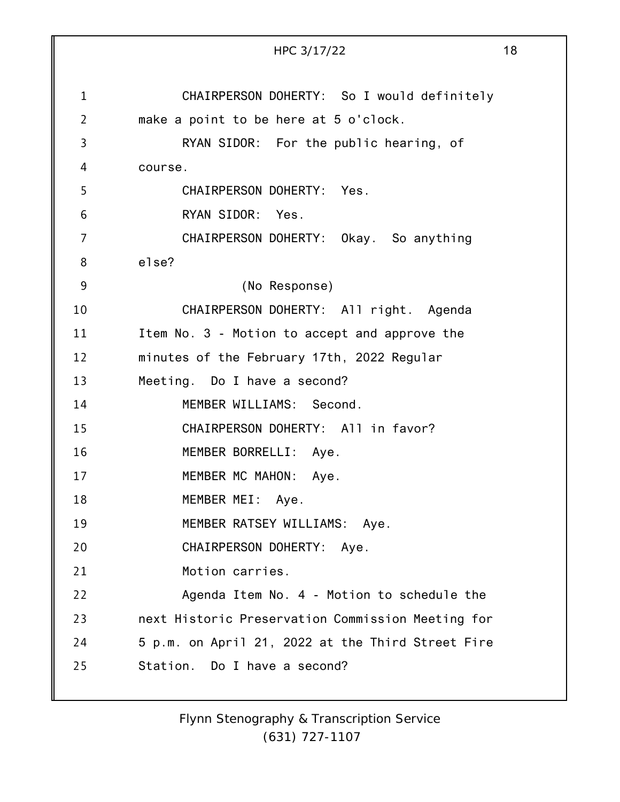|             | HPC 3/17/22                                       | 18 |
|-------------|---------------------------------------------------|----|
|             |                                                   |    |
| $\mathbf 1$ | CHAIRPERSON DOHERTY: So I would definitely        |    |
| 2           | make a point to be here at 5 o'clock.             |    |
| 3           | RYAN SIDOR: For the public hearing, of            |    |
| 4           | course.                                           |    |
| 5           | CHAIRPERSON DOHERTY: Yes.                         |    |
| 6           | RYAN SIDOR: Yes.                                  |    |
| 7           | CHAIRPERSON DOHERTY: Okay. So anything            |    |
| 8           | else?                                             |    |
| 9           | (No Response)                                     |    |
| 10          | CHAIRPERSON DOHERTY: All right. Agenda            |    |
| 11          | Item No. 3 - Motion to accept and approve the     |    |
| 12          | minutes of the February 17th, 2022 Regular        |    |
| 13          | Meeting. Do I have a second?                      |    |
| 14          | MEMBER WILLIAMS: Second.                          |    |
| 15          | CHAIRPERSON DOHERTY: All in favor?                |    |
| 16          | MEMBER BORRELLI:<br>Aye.                          |    |
| 17          | MEMBER MC MAHON:<br>Aye.                          |    |
| 18          | MEMBER MEI: Aye.                                  |    |
| 19          | MEMBER RATSEY WILLIAMS: Aye.                      |    |
| 20          | CHAIRPERSON DOHERTY: Aye.                         |    |
| 21          | Motion carries.                                   |    |
| 22          | Agenda Item No. 4 - Motion to schedule the        |    |
| 23          | next Historic Preservation Commission Meeting for |    |
| 24          | 5 p.m. on April 21, 2022 at the Third Street Fire |    |
| 25          | Station. Do I have a second?                      |    |
|             |                                                   |    |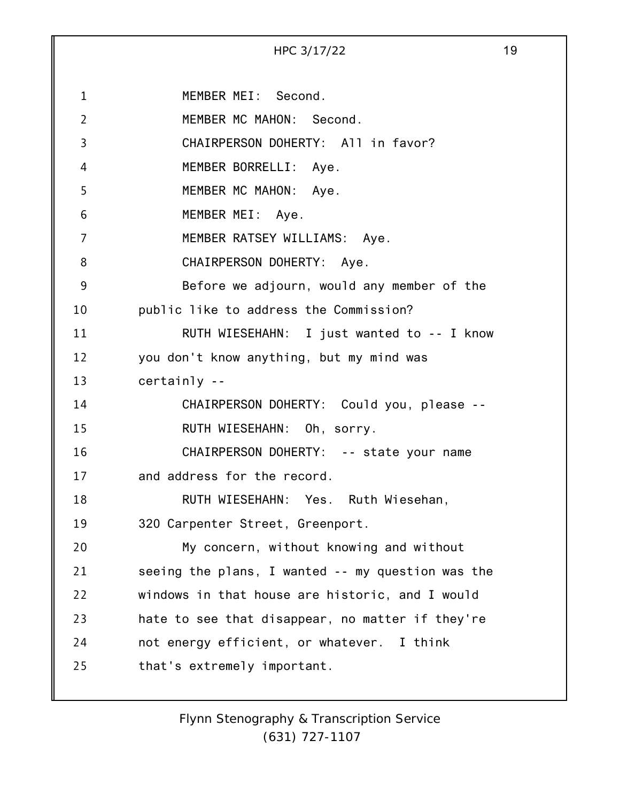1 2 3 4 5 6 7 8 9 10 11 12 13 14 15 16 17 18 19 20 21 22 23 24 25 HPC 3/17/22 19 MEMBER MEI: Second. MEMBER MC MAHON: Second. CHAIRPERSON DOHERTY: All in favor? MEMBER BORRELLI: Aye. MEMBER MC MAHON: Aye. MEMBER MEI: Aye. MEMBER RATSEY WILLIAMS: Aye. CHAIRPERSON DOHERTY: Aye. Before we adjourn, would any member of the public like to address the Commission? RUTH WIESEHAHN: I just wanted to -- I know you don't know anything, but my mind was certainly -- CHAIRPERSON DOHERTY: Could you, please -- RUTH WIESEHAHN: Oh, sorry. CHAIRPERSON DOHERTY: -- state your name and address for the record. RUTH WIESEHAHN: Yes. Ruth Wiesehan, 320 Carpenter Street, Greenport. My concern, without knowing and without seeing the plans, I wanted -- my question was the windows in that house are historic, and I would hate to see that disappear, no matter if they're not energy efficient, or whatever. I think that's extremely important.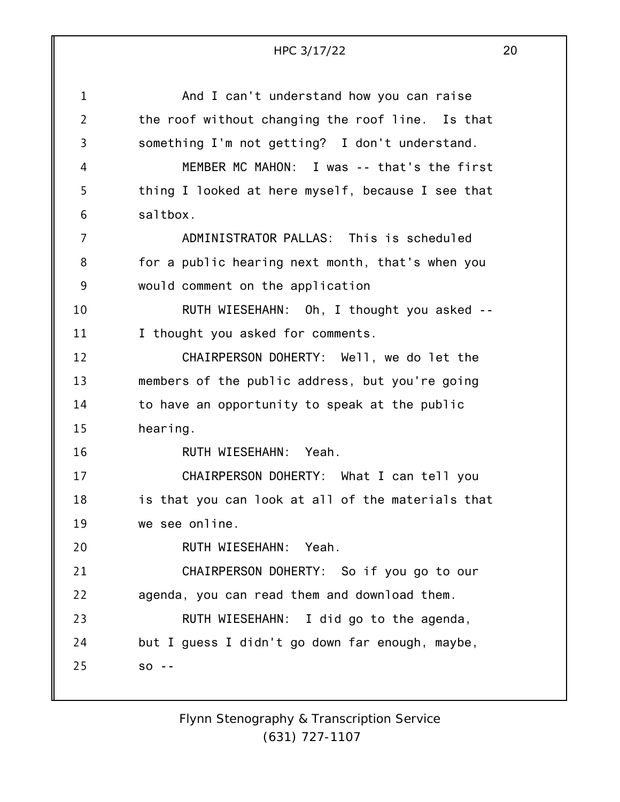|                | HPC 3/17/22                                       | 20 |
|----------------|---------------------------------------------------|----|
| $\mathbf{1}$   | And I can't understand how you can raise          |    |
| $\overline{2}$ | the roof without changing the roof line. Is that  |    |
| 3              | something I'm not getting? I don't understand.    |    |
| 4              | MEMBER MC MAHON: I was -- that's the first        |    |
| 5              | thing I looked at here myself, because I see that |    |
| 6              | saltbox.                                          |    |
| 7              | ADMINISTRATOR PALLAS: This is scheduled           |    |
| 8              | for a public hearing next month, that's when you  |    |
| 9              | would comment on the application                  |    |
| 10             | RUTH WIESEHAHN: Oh, I thought you asked --        |    |
| 11             | I thought you asked for comments.                 |    |
| 12             | CHAIRPERSON DOHERTY: Well, we do let the          |    |
| 13             | members of the public address, but you're going   |    |
| 14             | to have an opportunity to speak at the public     |    |
| 15             | hearing.                                          |    |
| 16             | RUTH WIESEHAHN: Yeah.                             |    |
| 17             | CHAIRPERSON DOHERTY: What I can tell you          |    |
| 18             | is that you can look at all of the materials that |    |
| 19             | we see online.                                    |    |
| 20             | RUTH WIESEHAHN:<br>Yeah.                          |    |
| 21             | CHAIRPERSON DOHERTY: So if you go to our          |    |
| 22             | agenda, you can read them and download them.      |    |
| 23             | RUTH WIESEHAHN: I did go to the agenda,           |    |
| 24             | but I guess I didn't go down far enough, maybe,   |    |
| 25             | $SO - -$                                          |    |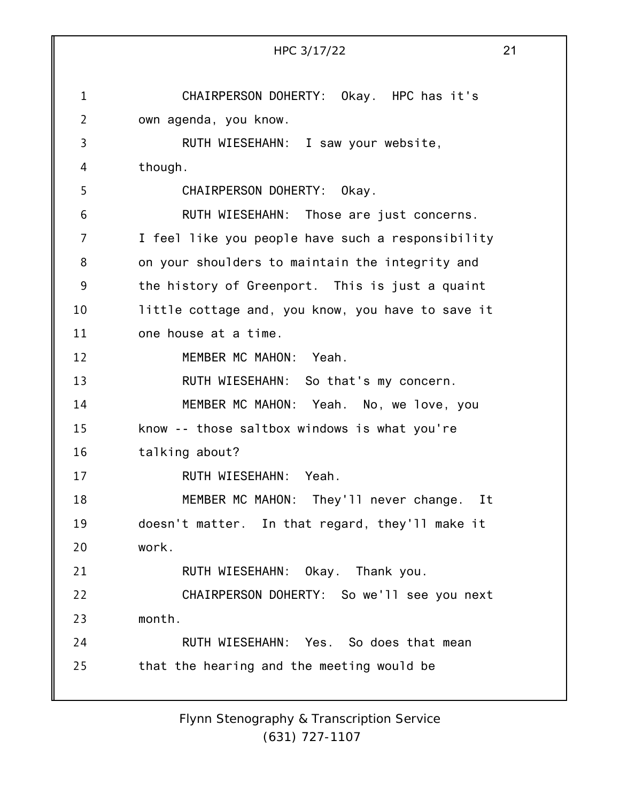1 2 3 4 5 6 7 8 9 10 11 12 13 14 15 16 17 18 19 20 21 22 23 24 25 HPC 3/17/22 21 CHAIRPERSON DOHERTY: Okay. HPC has it's own agenda, you know. RUTH WIESEHAHN: I saw your website, though. CHAIRPERSON DOHERTY: Okay. RUTH WIESEHAHN: Those are just concerns. I feel like you people have such a responsibility on your shoulders to maintain the integrity and the history of Greenport. This is just a quaint little cottage and, you know, you have to save it one house at a time. MEMBER MC MAHON: Yeah. RUTH WIESEHAHN: So that's my concern. MEMBER MC MAHON: Yeah. No, we love, you know -- those saltbox windows is what you're talking about? RUTH WIESEHAHN: Yeah. MEMBER MC MAHON: They'll never change. It doesn't matter. In that regard, they'll make it work. RUTH WIESEHAHN: Okay. Thank you. CHAIRPERSON DOHERTY: So we'll see you next month. RUTH WIESEHAHN: Yes. So does that mean that the hearing and the meeting would be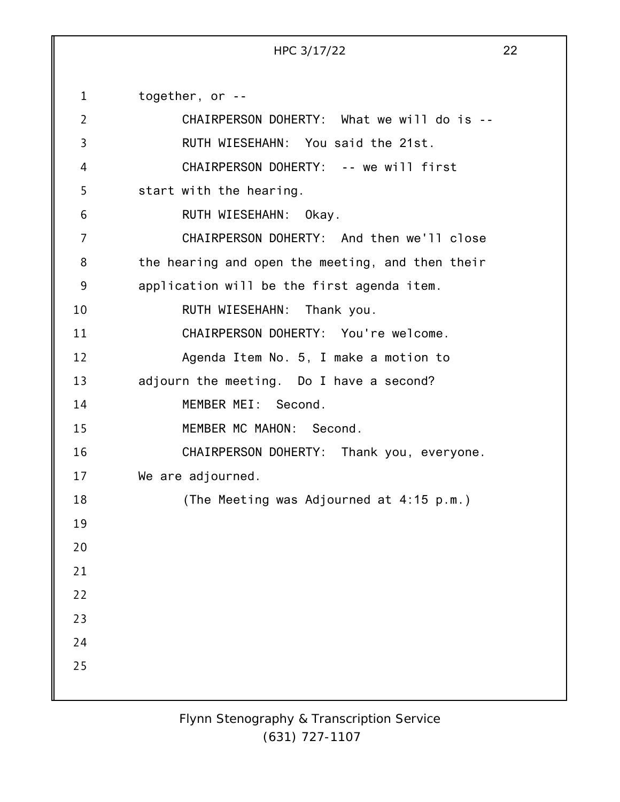HPC 3/17/22 22

1 2 3 4 5 6 7 8 9 10 11 12 13 14 15 16 17 18 19 20 21 22 23 24 25 together, or -- CHAIRPERSON DOHERTY: What we will do is -- RUTH WIESEHAHN: You said the 21st. CHAIRPERSON DOHERTY: -- we will first start with the hearing. RUTH WIESEHAHN: Okay. CHAIRPERSON DOHERTY: And then we'll close the hearing and open the meeting, and then their application will be the first agenda item. RUTH WIESEHAHN: Thank you. CHAIRPERSON DOHERTY: You're welcome. Agenda Item No. 5, I make a motion to adjourn the meeting. Do I have a second? MEMBER MEI: Second. MEMBER MC MAHON: Second. CHAIRPERSON DOHERTY: Thank you, everyone. We are adjourned. (The Meeting was Adjourned at 4:15 p.m.)